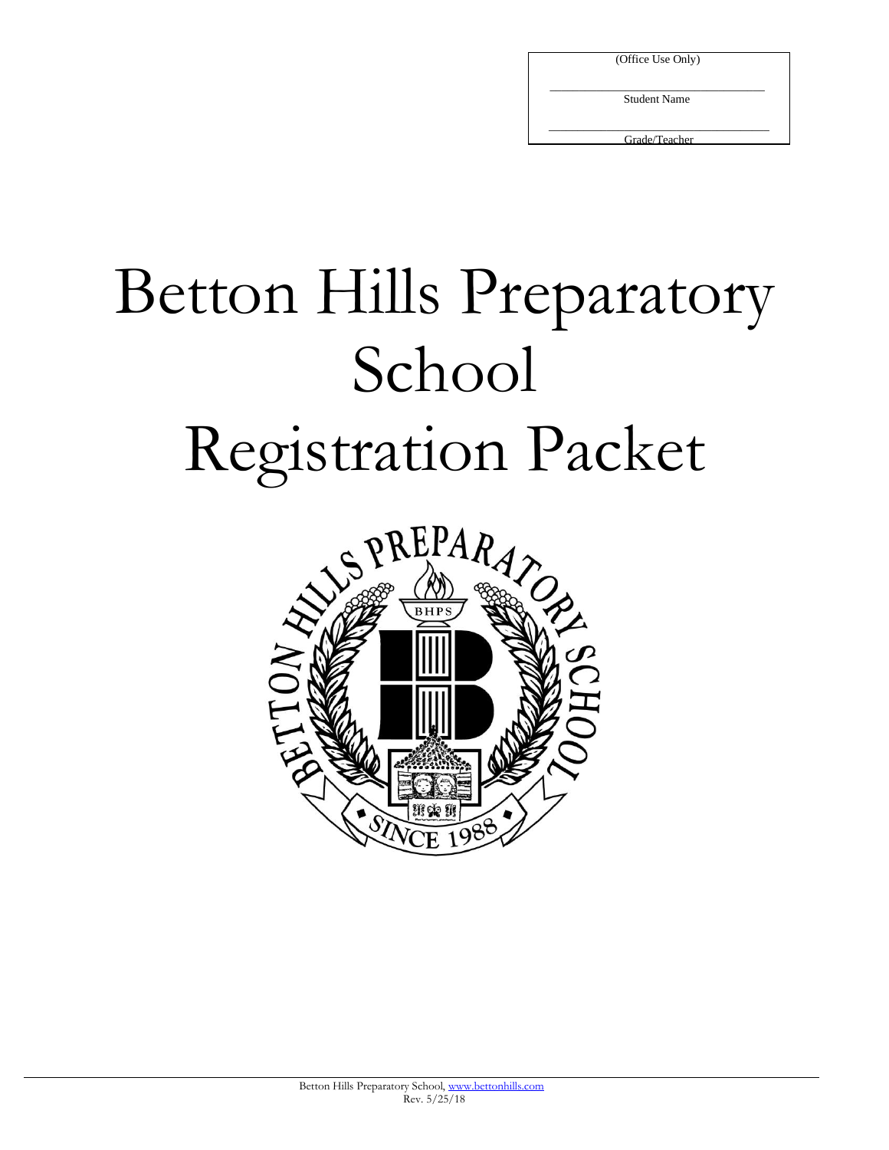| (Office Use Only) |  |
|-------------------|--|
|-------------------|--|

 $\overline{\phantom{a}}$  , which is a set of the set of the set of the set of the set of the set of the set of the set of the set of the set of the set of the set of the set of the set of the set of the set of the set of the set of th Student Name

\_\_\_\_\_\_\_\_\_\_\_\_\_\_\_\_\_\_\_\_\_\_\_\_\_\_\_\_\_\_\_\_\_\_\_\_\_\_ Grade/Teacher

# Betton Hills Preparatory School Registration Packet

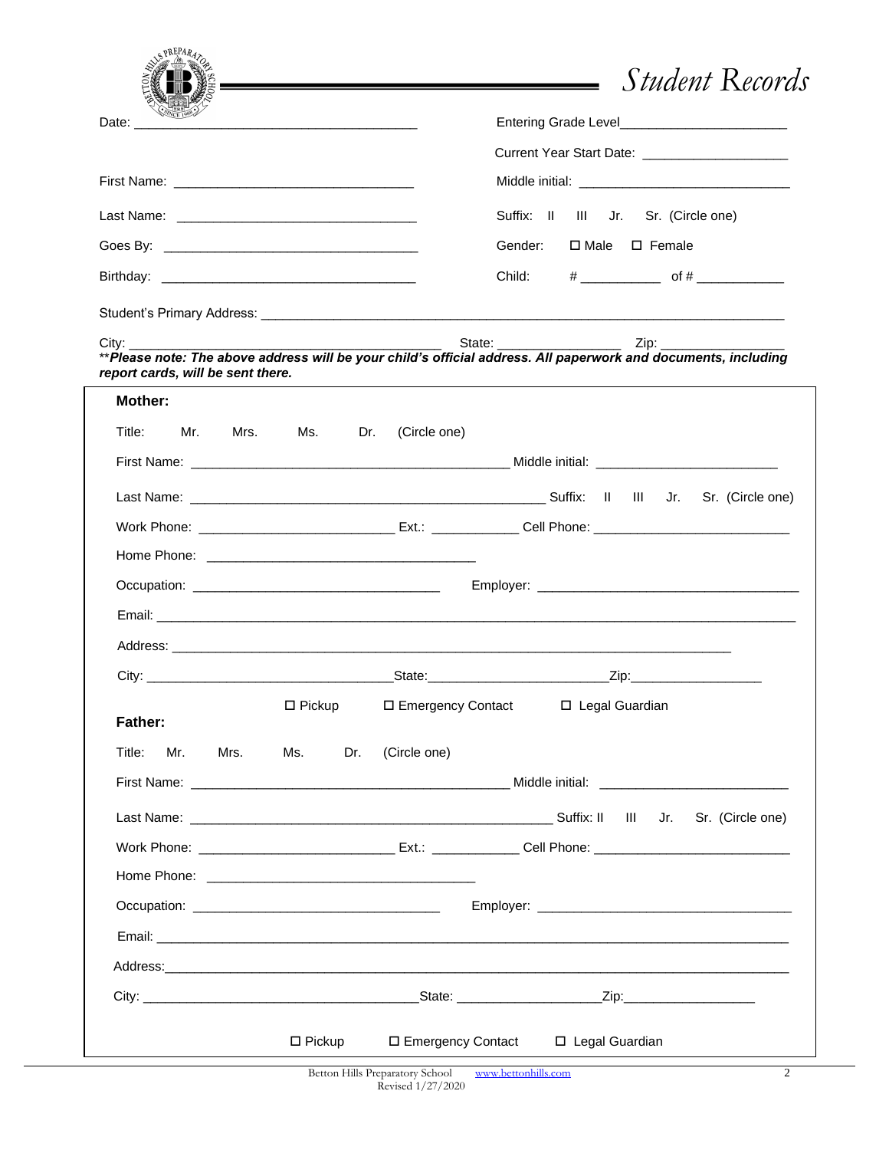|                                                |                                                                            |                     | <i>Student</i> Records                                                                                                                                                                                                        |
|------------------------------------------------|----------------------------------------------------------------------------|---------------------|-------------------------------------------------------------------------------------------------------------------------------------------------------------------------------------------------------------------------------|
| Date: $\_\_$                                   | the control of the control of the control of the control of the control of |                     | Entering Grade Level <b>Entering</b> Grade Level <b>Entering</b>                                                                                                                                                              |
|                                                |                                                                            |                     | Current Year Start Date: ________________________                                                                                                                                                                             |
|                                                |                                                                            |                     |                                                                                                                                                                                                                               |
|                                                |                                                                            |                     | Suffix: II III Jr. Sr. (Circle one)                                                                                                                                                                                           |
|                                                |                                                                            |                     | □ Male □ Female<br>Gender:                                                                                                                                                                                                    |
| Birthday: <u>Alexander State Communication</u> |                                                                            |                     | Child:                                                                                                                                                                                                                        |
|                                                |                                                                            |                     |                                                                                                                                                                                                                               |
| $\mathsf{City:}$                               |                                                                            |                     |                                                                                                                                                                                                                               |
| report cards, will be sent there.              |                                                                            |                     | ** Please note: The above address will be your child's official address. All paperwork and documents, including                                                                                                               |
| Mother:                                        |                                                                            |                     | the control of the control of the control of the control of the control of the control of the control of the control of the control of the control of the control of the control of the control of the control of the control |
| Title: Title<br>Mr. Mrs. Ms. Dr.               |                                                                            | (Circle one)        |                                                                                                                                                                                                                               |
|                                                |                                                                            |                     |                                                                                                                                                                                                                               |
|                                                |                                                                            |                     |                                                                                                                                                                                                                               |
|                                                |                                                                            |                     |                                                                                                                                                                                                                               |
|                                                |                                                                            |                     |                                                                                                                                                                                                                               |
|                                                |                                                                            |                     |                                                                                                                                                                                                                               |
|                                                |                                                                            |                     |                                                                                                                                                                                                                               |
|                                                |                                                                            |                     |                                                                                                                                                                                                                               |
|                                                |                                                                            |                     |                                                                                                                                                                                                                               |
| Father:                                        | $\square$ Pickup                                                           | □ Emergency Contact | □ Legal Guardian                                                                                                                                                                                                              |
| Title:<br>Mrs.<br>Mr.                          | Ms.<br>Dr.                                                                 | (Circle one)        |                                                                                                                                                                                                                               |
|                                                |                                                                            |                     | First Name: Name: Name: Name: Name: Name: Name: Name: Name: Name: Name: Name: Name: Name: Name: Name: Name: Name: Name: Name: Name: Name: Name: Name: Name: Name: Name: Name: Name: Name: Name: Name: Name: Name: Name: Name: |
|                                                |                                                                            |                     |                                                                                                                                                                                                                               |
|                                                |                                                                            |                     |                                                                                                                                                                                                                               |
|                                                |                                                                            |                     |                                                                                                                                                                                                                               |
|                                                |                                                                            |                     |                                                                                                                                                                                                                               |
|                                                |                                                                            |                     |                                                                                                                                                                                                                               |
|                                                |                                                                            |                     |                                                                                                                                                                                                                               |
|                                                |                                                                            |                     |                                                                                                                                                                                                                               |
|                                                |                                                                            |                     |                                                                                                                                                                                                                               |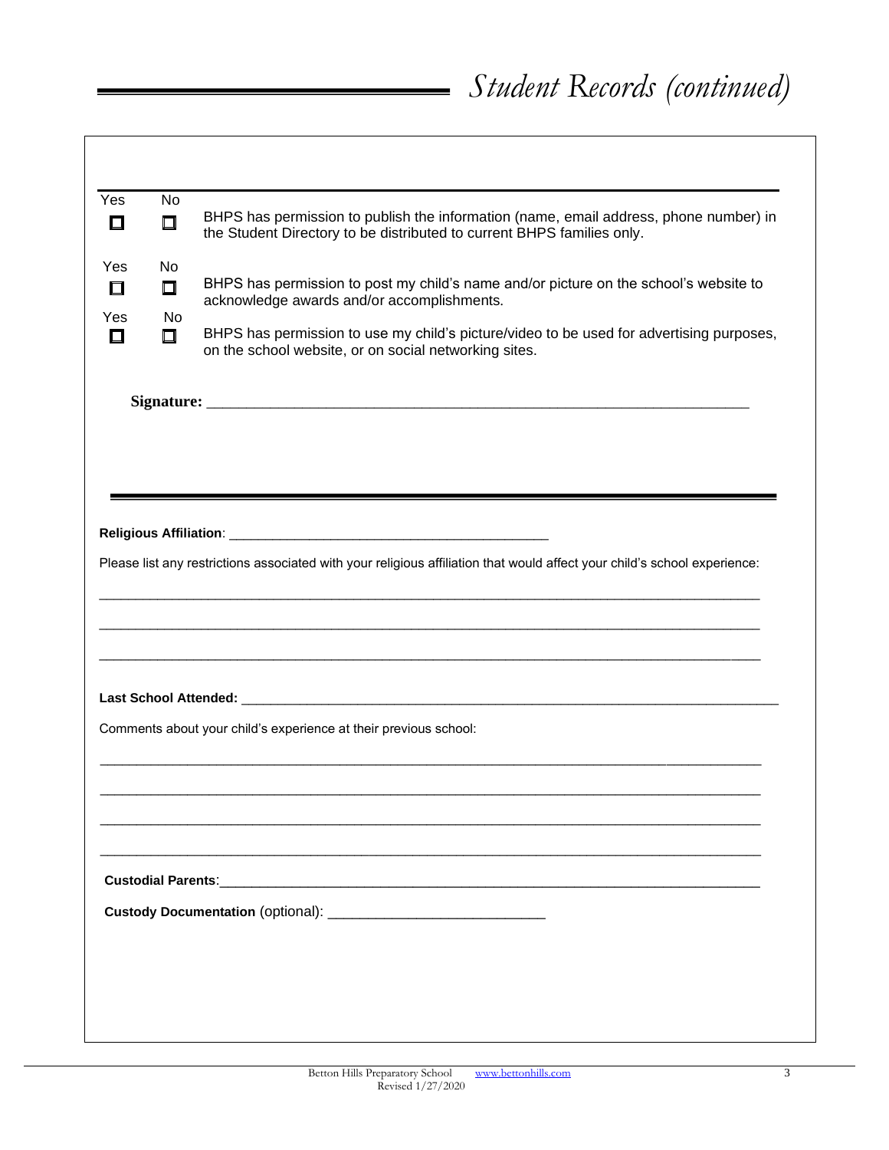| Yes           | <b>No</b>     |                                                                                                                                                                 |
|---------------|---------------|-----------------------------------------------------------------------------------------------------------------------------------------------------------------|
| $\Box$        | $\Box$        | BHPS has permission to publish the information (name, email address, phone number) in<br>the Student Directory to be distributed to current BHPS families only. |
| Yes<br>$\Box$ | No.<br>$\Box$ | BHPS has permission to post my child's name and/or picture on the school's website to                                                                           |
| Yes           | No.           | acknowledge awards and/or accomplishments.                                                                                                                      |
| $\Box$        | □             | BHPS has permission to use my child's picture/video to be used for advertising purposes,<br>on the school website, or on social networking sites.               |
|               |               |                                                                                                                                                                 |
|               |               |                                                                                                                                                                 |
|               |               |                                                                                                                                                                 |
|               |               |                                                                                                                                                                 |
|               |               |                                                                                                                                                                 |
|               |               |                                                                                                                                                                 |
|               |               |                                                                                                                                                                 |
|               |               | Please list any restrictions associated with your religious affiliation that would affect your child's school experience:                                       |
|               |               |                                                                                                                                                                 |
|               |               |                                                                                                                                                                 |
|               |               |                                                                                                                                                                 |
|               |               |                                                                                                                                                                 |
|               |               |                                                                                                                                                                 |
|               |               |                                                                                                                                                                 |
|               |               | Comments about your child's experience at their previous school:                                                                                                |
|               |               |                                                                                                                                                                 |
|               |               |                                                                                                                                                                 |
|               |               |                                                                                                                                                                 |
|               |               |                                                                                                                                                                 |
|               |               |                                                                                                                                                                 |
|               |               |                                                                                                                                                                 |
|               |               |                                                                                                                                                                 |
|               |               |                                                                                                                                                                 |
|               |               |                                                                                                                                                                 |
|               |               |                                                                                                                                                                 |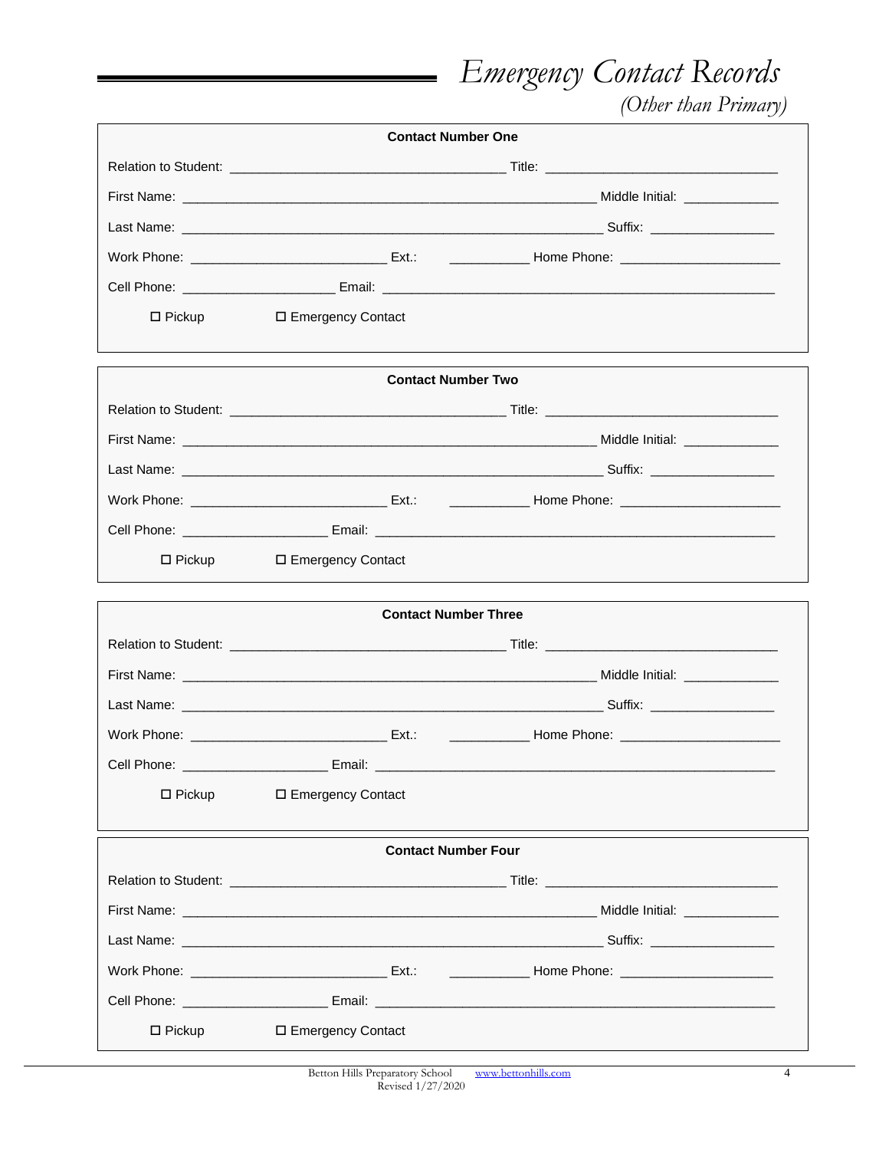*Emergency Contact Records*

 *(Other than Primary)*

| <b>Contact Number One</b>  |                             |                                                                                                                                                                                                                               |  |  |
|----------------------------|-----------------------------|-------------------------------------------------------------------------------------------------------------------------------------------------------------------------------------------------------------------------------|--|--|
|                            |                             |                                                                                                                                                                                                                               |  |  |
|                            |                             |                                                                                                                                                                                                                               |  |  |
|                            |                             |                                                                                                                                                                                                                               |  |  |
|                            |                             |                                                                                                                                                                                                                               |  |  |
|                            |                             |                                                                                                                                                                                                                               |  |  |
| $\Box$ Pickup              | □ Emergency Contact         |                                                                                                                                                                                                                               |  |  |
|                            | <b>Contact Number Two</b>   |                                                                                                                                                                                                                               |  |  |
|                            |                             |                                                                                                                                                                                                                               |  |  |
|                            |                             |                                                                                                                                                                                                                               |  |  |
|                            |                             |                                                                                                                                                                                                                               |  |  |
|                            |                             |                                                                                                                                                                                                                               |  |  |
|                            |                             |                                                                                                                                                                                                                               |  |  |
| $\Box$ Pickup              | □ Emergency Contact         |                                                                                                                                                                                                                               |  |  |
|                            | <b>Contact Number Three</b> |                                                                                                                                                                                                                               |  |  |
|                            |                             |                                                                                                                                                                                                                               |  |  |
|                            |                             |                                                                                                                                                                                                                               |  |  |
|                            |                             |                                                                                                                                                                                                                               |  |  |
|                            |                             |                                                                                                                                                                                                                               |  |  |
|                            |                             |                                                                                                                                                                                                                               |  |  |
| $\Box$ Pickup              | □ Emergency Contact         |                                                                                                                                                                                                                               |  |  |
| <b>Contact Number Four</b> |                             |                                                                                                                                                                                                                               |  |  |
|                            |                             | Relation to Student: example and the students of the students of the students of the students of the students of the students of the students of the students of the students of the students of the students of the students |  |  |
|                            |                             |                                                                                                                                                                                                                               |  |  |
|                            |                             |                                                                                                                                                                                                                               |  |  |
|                            |                             |                                                                                                                                                                                                                               |  |  |
|                            |                             | Cell Phone: ____________________________Email: _________________________________                                                                                                                                              |  |  |
|                            |                             |                                                                                                                                                                                                                               |  |  |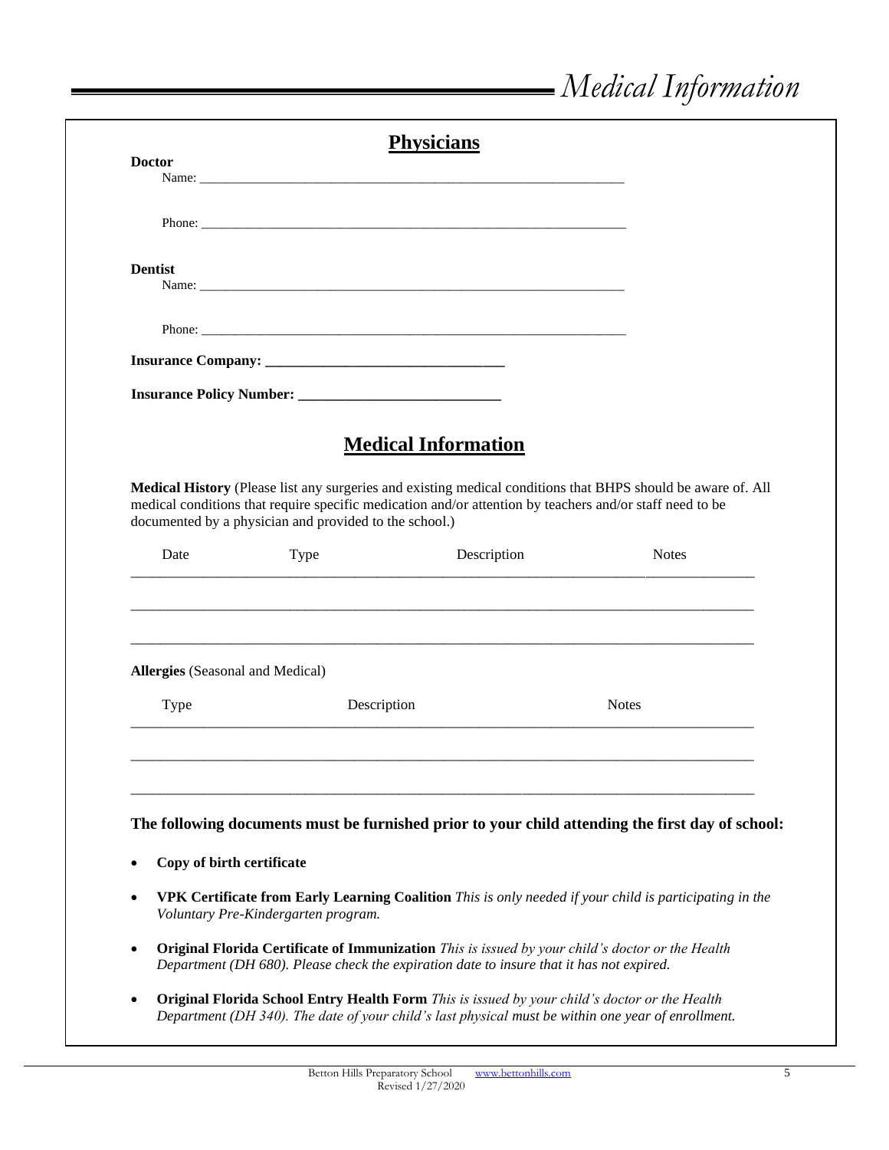|                                                                                                                                    |                                                                                                          | <b>Physicians</b>          |                                                                                                                                                                                                               |
|------------------------------------------------------------------------------------------------------------------------------------|----------------------------------------------------------------------------------------------------------|----------------------------|---------------------------------------------------------------------------------------------------------------------------------------------------------------------------------------------------------------|
| <b>Doctor</b>                                                                                                                      |                                                                                                          |                            |                                                                                                                                                                                                               |
|                                                                                                                                    |                                                                                                          |                            |                                                                                                                                                                                                               |
|                                                                                                                                    |                                                                                                          |                            |                                                                                                                                                                                                               |
|                                                                                                                                    |                                                                                                          |                            |                                                                                                                                                                                                               |
| <b>Dentist</b>                                                                                                                     |                                                                                                          |                            |                                                                                                                                                                                                               |
|                                                                                                                                    |                                                                                                          |                            |                                                                                                                                                                                                               |
|                                                                                                                                    |                                                                                                          |                            |                                                                                                                                                                                                               |
|                                                                                                                                    |                                                                                                          |                            |                                                                                                                                                                                                               |
|                                                                                                                                    |                                                                                                          |                            |                                                                                                                                                                                                               |
|                                                                                                                                    |                                                                                                          |                            |                                                                                                                                                                                                               |
|                                                                                                                                    |                                                                                                          |                            |                                                                                                                                                                                                               |
|                                                                                                                                    |                                                                                                          |                            |                                                                                                                                                                                                               |
|                                                                                                                                    |                                                                                                          | <b>Medical Information</b> |                                                                                                                                                                                                               |
|                                                                                                                                    |                                                                                                          |                            |                                                                                                                                                                                                               |
|                                                                                                                                    | medical conditions that require specific medication and/or attention by teachers and/or staff need to be |                            | Medical History (Please list any surgeries and existing medical conditions that BHPS should be aware of. All                                                                                                  |
|                                                                                                                                    | documented by a physician and provided to the school.)                                                   |                            |                                                                                                                                                                                                               |
|                                                                                                                                    |                                                                                                          |                            | <b>Notes</b>                                                                                                                                                                                                  |
| Date                                                                                                                               | Type                                                                                                     | Description                |                                                                                                                                                                                                               |
|                                                                                                                                    |                                                                                                          |                            |                                                                                                                                                                                                               |
|                                                                                                                                    |                                                                                                          |                            |                                                                                                                                                                                                               |
| <b>Allergies</b> (Seasonal and Medical)                                                                                            |                                                                                                          |                            |                                                                                                                                                                                                               |
|                                                                                                                                    |                                                                                                          |                            |                                                                                                                                                                                                               |
| Type                                                                                                                               | Description                                                                                              |                            | <b>Notes</b>                                                                                                                                                                                                  |
|                                                                                                                                    |                                                                                                          |                            |                                                                                                                                                                                                               |
|                                                                                                                                    |                                                                                                          |                            |                                                                                                                                                                                                               |
|                                                                                                                                    |                                                                                                          |                            |                                                                                                                                                                                                               |
|                                                                                                                                    |                                                                                                          |                            |                                                                                                                                                                                                               |
|                                                                                                                                    |                                                                                                          |                            |                                                                                                                                                                                                               |
|                                                                                                                                    |                                                                                                          |                            |                                                                                                                                                                                                               |
| The following documents must be furnished prior to your child attending the first day of school:<br>Copy of birth certificate<br>٠ |                                                                                                          |                            |                                                                                                                                                                                                               |
|                                                                                                                                    |                                                                                                          |                            |                                                                                                                                                                                                               |
| $\bullet$                                                                                                                          | Voluntary Pre-Kindergarten program.                                                                      |                            |                                                                                                                                                                                                               |
|                                                                                                                                    |                                                                                                          |                            |                                                                                                                                                                                                               |
|                                                                                                                                    |                                                                                                          |                            | <b>Original Florida Certificate of Immunization</b> This is issued by your child's doctor or the Health                                                                                                       |
| $\bullet$                                                                                                                          | Department (DH 680). Please check the expiration date to insure that it has not expired.                 |                            |                                                                                                                                                                                                               |
| $\bullet$                                                                                                                          | Original Florida School Entry Health Form This is issued by your child's doctor or the Health            |                            | VPK Certificate from Early Learning Coalition This is only needed if your child is participating in the<br>Department (DH 340). The date of your child's last physical must be within one year of enrollment. |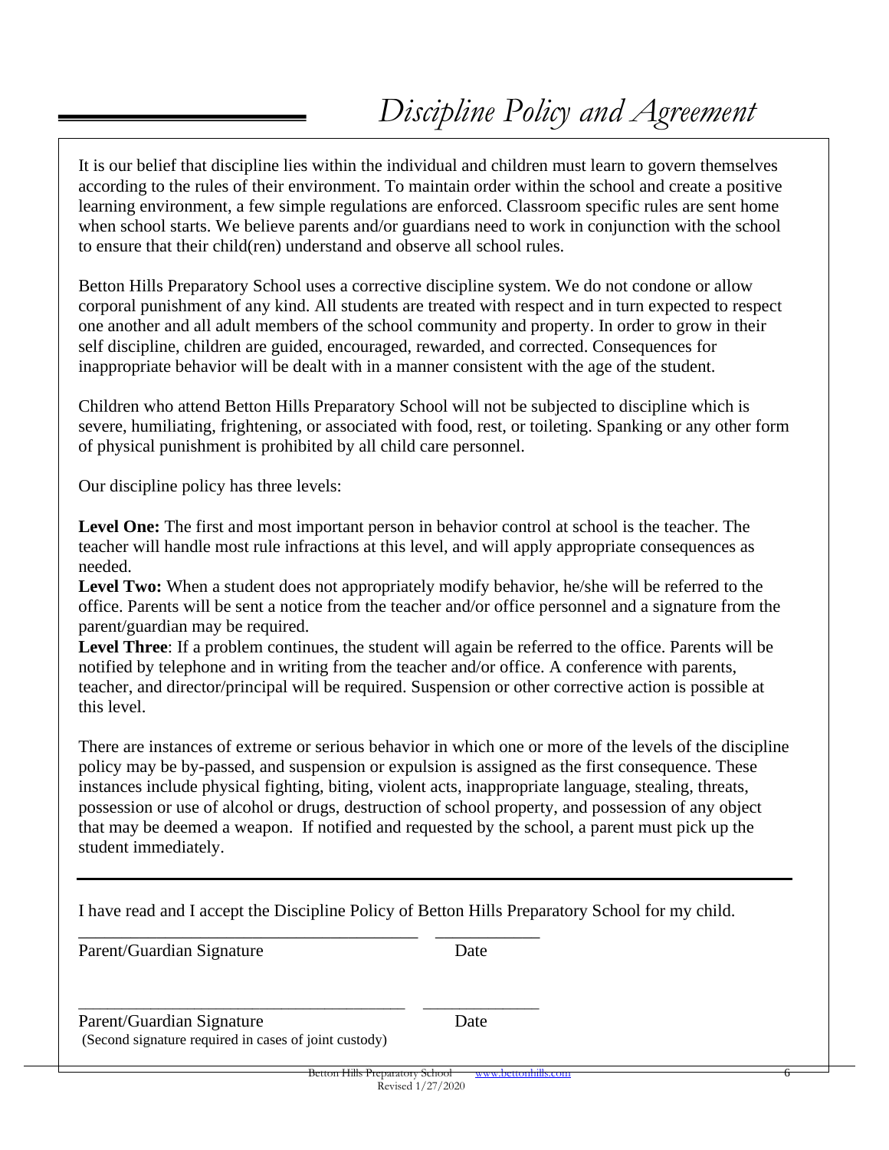### *Discipline Policy and Agreement*

It is our belief that discipline lies within the individual and children must learn to govern themselves according to the rules of their environment. To maintain order within the school and create a positive learning environment, a few simple regulations are enforced. Classroom specific rules are sent home when school starts. We believe parents and/or guardians need to work in conjunction with the school to ensure that their child(ren) understand and observe all school rules.

Betton Hills Preparatory School uses a corrective discipline system. We do not condone or allow corporal punishment of any kind. All students are treated with respect and in turn expected to respect one another and all adult members of the school community and property. In order to grow in their self discipline, children are guided, encouraged, rewarded, and corrected. Consequences for inappropriate behavior will be dealt with in a manner consistent with the age of the student.

Children who attend Betton Hills Preparatory School will not be subjected to discipline which is severe, humiliating, frightening, or associated with food, rest, or toileting. Spanking or any other form of physical punishment is prohibited by all child care personnel.

Our discipline policy has three levels:

Level One: The first and most important person in behavior control at school is the teacher. The teacher will handle most rule infractions at this level, and will apply appropriate consequences as needed.

Level Two: When a student does not appropriately modify behavior, he/she will be referred to the office. Parents will be sent a notice from the teacher and/or office personnel and a signature from the parent/guardian may be required.

**Level Three**: If a problem continues, the student will again be referred to the office. Parents will be notified by telephone and in writing from the teacher and/or office. A conference with parents, teacher, and director/principal will be required. Suspension or other corrective action is possible at this level.

There are instances of extreme or serious behavior in which one or more of the levels of the discipline policy may be by-passed, and suspension or expulsion is assigned as the first consequence. These instances include physical fighting, biting, violent acts, inappropriate language, stealing, threats, possession or use of alcohol or drugs, destruction of school property, and possession of any object that may be deemed a weapon. If notified and requested by the school, a parent must pick up the student immediately.

| I have read and I accept the Discipline Policy of Betton Hills Preparatory School for my child. |                     |  |
|-------------------------------------------------------------------------------------------------|---------------------|--|
| Parent/Guardian Signature                                                                       | Date                |  |
| Parent/Guardian Signature<br>(Second signature required in cases of joint custody)              | Date                |  |
| Betton Hills Preparatory School                                                                 | www.bettonhills.com |  |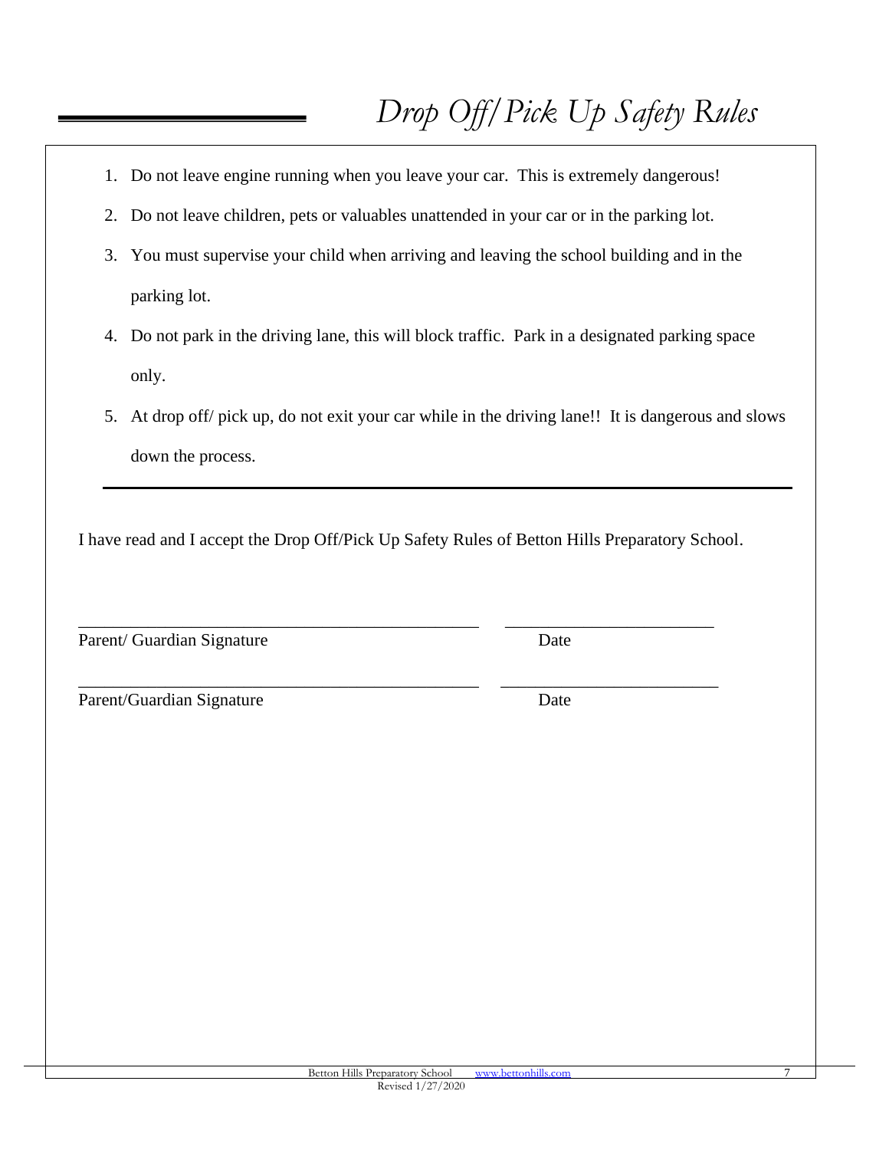- 1. Do not leave engine running when you leave your car. This is extremely dangerous!
- 2. Do not leave children, pets or valuables unattended in your car or in the parking lot.
- 3. You must supervise your child when arriving and leaving the school building and in the parking lot.
- 4. Do not park in the driving lane, this will block traffic. Park in a designated parking space only.
- 5. At drop off/ pick up, do not exit your car while in the driving lane!! It is dangerous and slows down the process.

I have read and I accept the Drop Off/Pick Up Safety Rules of Betton Hills Preparatory School.

\_\_\_\_\_\_\_\_\_\_\_\_\_\_\_\_\_\_\_\_\_\_\_\_\_\_\_\_\_\_\_\_\_\_\_\_\_\_\_\_\_\_\_\_\_\_ \_\_\_\_\_\_\_\_\_\_\_\_\_\_\_\_\_\_\_\_\_\_\_\_

\_\_\_\_\_\_\_\_\_\_\_\_\_\_\_\_\_\_\_\_\_\_\_\_\_\_\_\_\_\_\_\_\_\_\_\_\_\_\_\_\_\_\_\_\_\_ \_\_\_\_\_\_\_\_\_\_\_\_\_\_\_\_\_\_\_\_\_\_\_\_\_

Parent/ Guardian Signature Date

| Parent/Guardian Signature | Date |
|---------------------------|------|
|                           |      |

7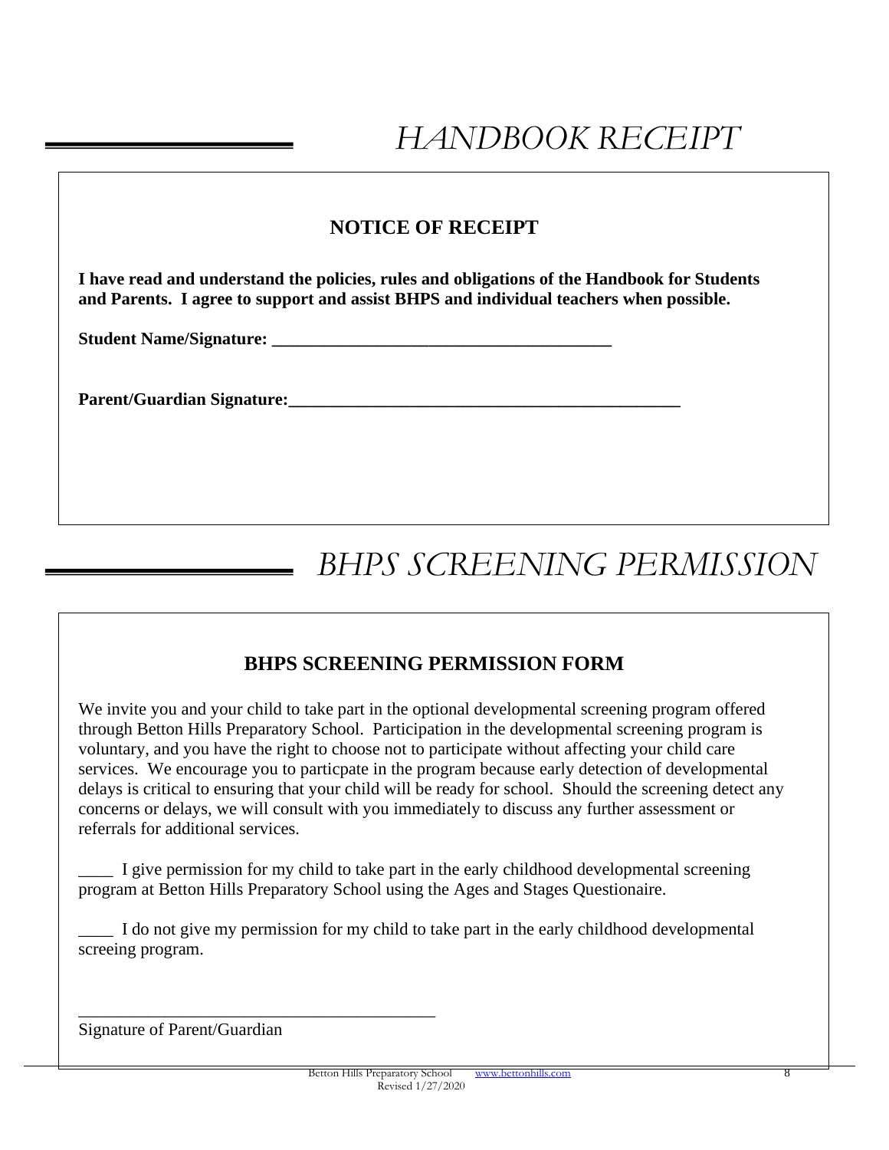#### **NOTICE OF RECEIPT**

**I have read and understand the policies, rules and obligations of the Handbook for Students and Parents. I agree to support and assist BHPS and individual teachers when possible.**

**Student Name/Signature: \_\_\_\_\_\_\_\_\_\_\_\_\_\_\_\_\_\_\_\_\_\_\_\_\_\_\_\_\_\_\_\_\_\_\_\_\_\_\_**

**Parent/Guardian Signature:\_\_\_\_\_\_\_\_\_\_\_\_\_\_\_\_\_\_\_\_\_\_\_\_\_\_\_\_\_\_\_\_\_\_\_\_\_\_\_\_\_\_\_\_\_**

## *BHPS SCREENING PERMISSION*

#### **BHPS SCREENING PERMISSION FORM**

We invite you and your child to take part in the optional developmental screening program offered through Betton Hills Preparatory School. Participation in the developmental screening program is voluntary, and you have the right to choose not to participate without affecting your child care services. We encourage you to particpate in the program because early detection of developmental delays is critical to ensuring that your child will be ready for school. Should the screening detect any concerns or delays, we will consult with you immediately to discuss any further assessment or referrals for additional services.

\_\_\_\_ I give permission for my child to take part in the early childhood developmental screening program at Betton Hills Preparatory School using the Ages and Stages Questionaire.

I do not give my permission for my child to take part in the early childhood developmental screeing program.

Signature of Parent/Guardian

\_\_\_\_\_\_\_\_\_\_\_\_\_\_\_\_\_\_\_\_\_\_\_\_\_\_\_\_\_\_\_\_\_\_\_\_\_\_\_\_\_